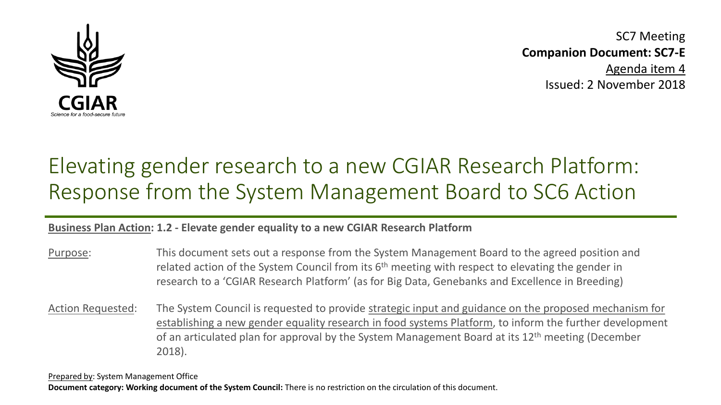

SC7 Meeting **Companion Document: SC7-E** Agenda item 4 Issued: 2 November 2018

# Elevating gender research to a new CGIAR Research Platform: Response from the System Management Board to SC6 Action

#### **Business Plan Action: 1.2 - Elevate gender equality to a new CGIAR Research Platform**

Purpose: This document sets out a response from the System Management Board to the agreed position and related action of the System Council from its  $6<sup>th</sup>$  meeting with respect to elevating the gender in research to a 'CGIAR Research Platform' (as for Big Data, Genebanks and Excellence in Breeding)

Action Requested: The System Council is requested to provide strategic input and guidance on the proposed mechanism for establishing a new gender equality research in food systems Platform, to inform the further development of an articulated plan for approval by the System Management Board at its 12<sup>th</sup> meeting (December 2018).

Prepared by: System Management Office **Document category: Working document of the System Council:** There is no restriction on the circulation of this document.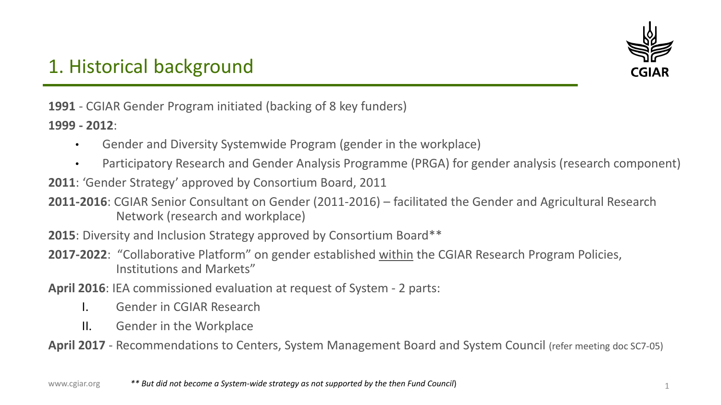

### 1. Historical background

**1991** - CGIAR Gender Program initiated (backing of 8 key funders)

**1999 - 2012**:

- Gender and Diversity Systemwide Program (gender in the workplace)
- Participatory Research and Gender Analysis Programme (PRGA) for gender analysis (research component)
- **2011**: 'Gender Strategy' approved by Consortium Board, 2011
- **2011-2016**: CGIAR Senior Consultant on Gender (2011-2016) facilitated the Gender and Agricultural Research Network (research and workplace)
- **2015**: Diversity and Inclusion Strategy approved by Consortium Board<sup>\*\*</sup>
- **2017-2022**: "Collaborative Platform" on gender established within the CGIAR Research Program Policies, Institutions and Markets"
- **April 2016**: IEA commissioned evaluation at request of System 2 parts:
	- I. Gender in CGIAR Research
	- II. Gender in the Workplace
- **April 2017**  Recommendations to Centers, System Management Board and System Council (refer meeting doc SC7-05)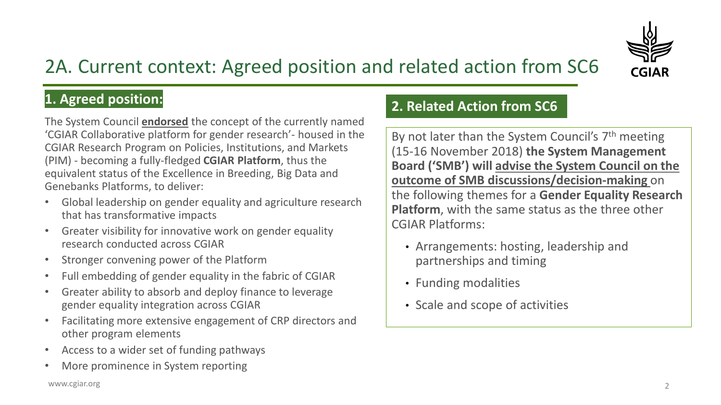

## 2A. Current context: Agreed position and related action from SC6

### **1. Agreed position:**

The System Council **endorsed** the concept of the currently named 'CGIAR Collaborative platform for gender research'- housed in the CGIAR Research Program on Policies, Institutions, and Markets (PIM) - becoming a fully-fledged **CGIAR Platform**, thus the equivalent status of the Excellence in Breeding, Big Data and Genebanks Platforms, to deliver:

- Global leadership on gender equality and agriculture research that has transformative impacts
- Greater visibility for innovative work on gender equality research conducted across CGIAR
- Stronger convening power of the Platform
- Full embedding of gender equality in the fabric of CGIAR
- Greater ability to absorb and deploy finance to leverage gender equality integration across CGIAR
- Facilitating more extensive engagement of CRP directors and other program elements
- Access to a wider set of funding pathways
- More prominence in System reporting

### **2. Related Action from SC6**

By not later than the System Council's 7<sup>th</sup> meeting (15-16 November 2018) **the System Management Board ('SMB') will advise the System Council on the outcome of SMB discussions/decision-making** on the following themes for a **Gender Equality Research Platform**, with the same status as the three other CGIAR Platforms:

- Arrangements: hosting, leadership and partnerships and timing
- Funding modalities
- Scale and scope of activities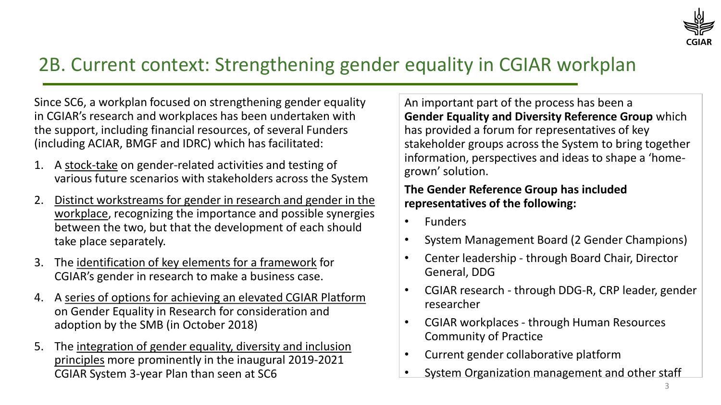

### 2B. Current context: Strengthening gender equality in CGIAR workplan

Since SC6, a workplan focused on strengthening gender equality in CGIAR's research and workplaces has been undertaken with the support, including financial resources, of several Funders (including ACIAR, BMGF and IDRC) which has facilitated:

- 1. A stock-take on gender-related activities and testing of various future scenarios with stakeholders across the System
- 2. Distinct workstreams for gender in research and gender in the workplace, recognizing the importance and possible synergies between the two, but that the development of each should take place separately.
- 3. The identification of key elements for a framework for CGIAR's gender in research to make a business case.
- 4. A series of options for achieving an elevated CGIAR Platform on Gender Equality in Research for consideration and adoption by the SMB (in October 2018)
- 5. The integration of gender equality, diversity and inclusion principles more prominently in the inaugural 2019-2021 CGIAR System 3-year Plan than seen at SC6

An important part of the process has been a **Gender Equality and Diversity Reference Group** which has provided a forum for representatives of key stakeholder groups across the System to bring together information, perspectives and ideas to shape a 'homegrown' solution.

#### **The Gender Reference Group has included representatives of the following:**

- Funders
- System Management Board (2 Gender Champions)
- Center leadership through Board Chair, Director General, DDG
- CGIAR research through DDG-R, CRP leader, gender researcher
- CGIAR workplaces through Human Resources Community of Practice
- Current gender collaborative platform
- System Organization management and other staff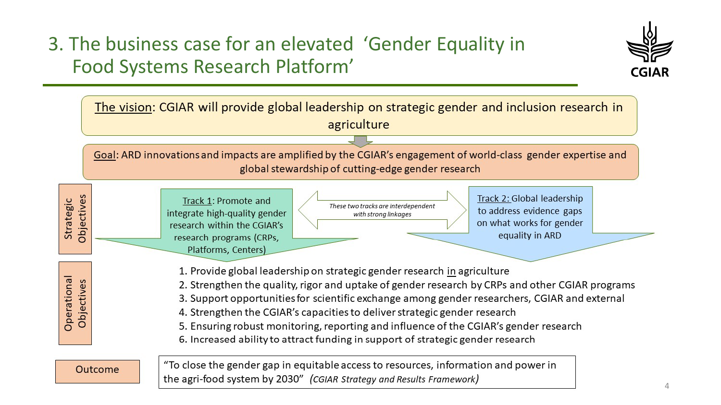### 3. The business case for an elevated 'Gender Equality in Food Systems Research Platform'



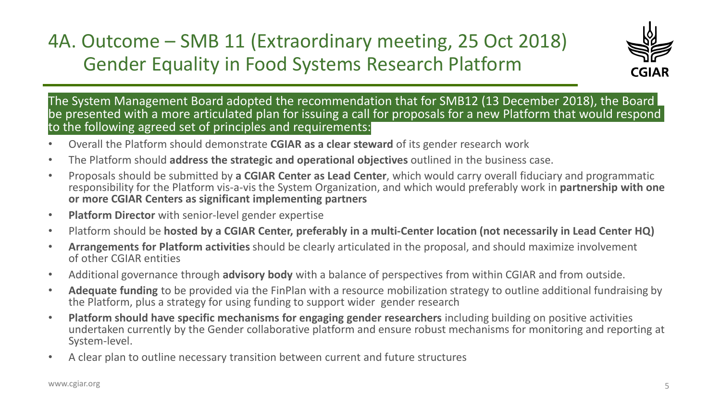### 4A. Outcome – SMB 11 (Extraordinary meeting, 25 Oct 2018) Gender Equality in Food Systems Research Platform



The System Management Board adopted the recommendation that for SMB12 (13 December 2018), the Board be presented with a more articulated plan for issuing a call for proposals for a new Platform that would respond to the following agreed set of principles and requirements:

- Overall the Platform should demonstrate **CGIAR as a clear steward** of its gender research work
- The Platform should **address the strategic and operational objectives** outlined in the business case.
- Proposals should be submitted by **a CGIAR Center as Lead Center**, which would carry overall fiduciary and programmatic responsibility for the Platform vis-a-vis the System Organization, and which would preferably work in **partnership with one or more CGIAR Centers as significant implementing partners**
- **Platform Director** with senior-level gender expertise
- Platform should be **hosted by a CGIAR Center, preferably in a multi-Center location (not necessarily in Lead Center HQ)**
- **Arrangements for Platform activities** should be clearly articulated in the proposal, and should maximize involvement of other CGIAR entities
- Additional governance through **advisory body** with a balance of perspectives from within CGIAR and from outside.
- **Adequate funding** to be provided via the FinPlan with a resource mobilization strategy to outline additional fundraising by the Platform, plus a strategy for using funding to support wider gender research
- **Platform should have specific mechanisms for engaging gender researchers** including building on positive activities undertaken currently by the Gender collaborative platform and ensure robust mechanisms for monitoring and reporting at System-level.
- A clear plan to outline necessary transition between current and future structures